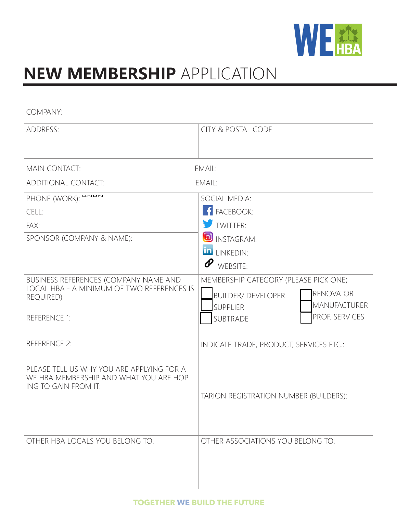

# **NEW MEMBERSHIP** APPLICATION

COMPANY:

| <b>ADDRESS:</b>                                                                                              | <b>CITY &amp; POSTAL CODE</b>                                                                                                    |  |  |
|--------------------------------------------------------------------------------------------------------------|----------------------------------------------------------------------------------------------------------------------------------|--|--|
|                                                                                                              |                                                                                                                                  |  |  |
| <b>MAIN CONTACT:</b>                                                                                         | EMAIL:                                                                                                                           |  |  |
| ADDITIONAL CONTACT:                                                                                          | EMAIL:                                                                                                                           |  |  |
| PHONE (WORK): BNBN                                                                                           | SOCIAL MEDIA:                                                                                                                    |  |  |
| CELL:                                                                                                        | <b>F</b> FACEBOOK:                                                                                                               |  |  |
| FAX:                                                                                                         | TWITTER:                                                                                                                         |  |  |
| SPONSOR (COMPANY & NAME):                                                                                    | <b>O</b> INSTAGRAM:                                                                                                              |  |  |
|                                                                                                              | <b>in</b> LINKEDIN:                                                                                                              |  |  |
|                                                                                                              | l<br>WEBSITE:                                                                                                                    |  |  |
| BUSINESS REFERENCES (COMPANY NAME AND<br>LOCAL HBA - A MINIMUM OF TWO REFERENCES IS<br><b>REQUIRED)</b>      | MEMBERSHIP CATEGORY (PLEASE PICK ONE)<br><b>RENOVATOR</b><br><b>BUILDER/ DEVELOPER</b><br><b>MANUFACTURER</b><br><b>SUPPLIER</b> |  |  |
| <b>REFERENCE 1:</b>                                                                                          | PROF. SERVICES<br>SUBTRADE                                                                                                       |  |  |
| <b>REFERENCE 2:</b>                                                                                          | INDICATE TRADE, PRODUCT, SERVICES ETC.:                                                                                          |  |  |
| PLEASE TELL US WHY YOU ARE APPLYING FOR A<br>WE HBA MEMBERSHIP AND WHAT YOU ARE HOP-<br>ING TO GAIN FROM IT: | TARION REGISTRATION NUMBER (BUILDERS):                                                                                           |  |  |
| OTHER HBA LOCALS YOU BELONG TO:                                                                              | OTHER ASSOCIATIONS YOU BELONG TO:                                                                                                |  |  |
|                                                                                                              |                                                                                                                                  |  |  |
|                                                                                                              |                                                                                                                                  |  |  |
|                                                                                                              |                                                                                                                                  |  |  |
|                                                                                                              |                                                                                                                                  |  |  |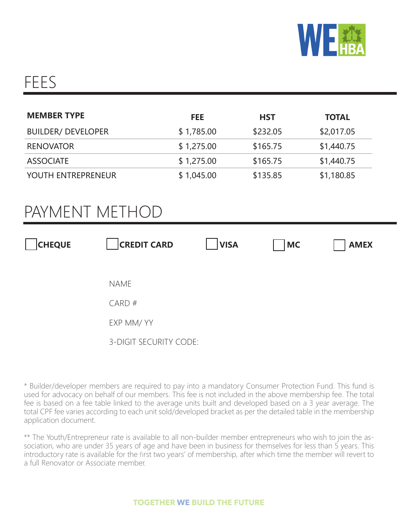

## FEES

| <b>MEMBER TYPE</b>        | <b>FEE</b> | <b>HST</b> | <b>TOTAL</b> |
|---------------------------|------------|------------|--------------|
| <b>BUILDER/ DEVELOPER</b> | \$1,785.00 | \$232.05   | \$2,017.05   |
| <b>RENOVATOR</b>          | \$1,275.00 | \$165.75   | \$1,440.75   |
| <b>ASSOCIATE</b>          | \$1,275.00 | \$165.75   | \$1,440.75   |
| YOUTH ENTREPRENEUR        | \$1,045.00 | \$135.85   | \$1,180.85   |

## PAYMENT METHOD

| <b>CHEQUE</b> | <b>CREDIT CARD</b>     | <b>VISA</b> | <b>MC</b> | <b>AMEX</b> |
|---------------|------------------------|-------------|-----------|-------------|
|               |                        |             |           |             |
|               | <b>NAME</b>            |             |           |             |
|               | CARD#                  |             |           |             |
|               | EXP MM/ YY             |             |           |             |
|               | 3-DIGIT SECURITY CODE: |             |           |             |

\* Builder/developer members are required to pay into a mandatory Consumer Protection Fund. This fund is used for advocacy on behalf of our members. This fee is not included in the above membership fee. The total fee is based on a fee table linked to the average units built and developed based on a 3 year average. The total CPF fee varies according to each unit sold/developed bracket as per the detailed table in the membership application document.

\*\* The Youth/Entrepreneur rate is available to all non-builder member entrepreneurs who wish to join the association, who are under 35 years of age and have been in business for themselves for less than 5 years. This introductory rate is available for the first two years' of membership, after which time the member will revert to a full Renovator or Associate member.

#### **TOGETHER WE BUILD THE FUTURE**